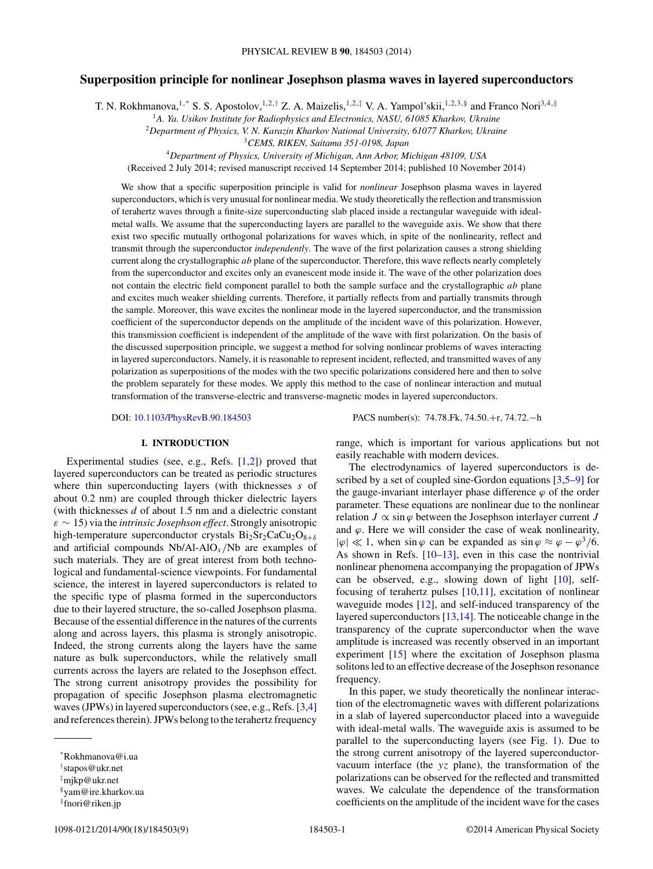## **Superposition principle for nonlinear Josephson plasma waves in layered superconductors**

T. N. Rokhmanova,<sup>1,\*</sup> S. S. Apostolov,<sup>1,2,†</sup> Z. A. Maizelis,<sup>1,2,‡</sup> V. A. Yampol'skii,<sup>1,2,3,§</sup> and Franco Nori<sup>3,4,∥</sup>

<sup>1</sup>*A. Ya. Usikov Institute for Radiophysics and Electronics, NASU, 61085 Kharkov, Ukraine*

<sup>2</sup>*Department of Physics, V. N. Karazin Kharkov National University, 61077 Kharkov, Ukraine*

<sup>3</sup>*CEMS, RIKEN, Saitama 351-0198, Japan*

<sup>4</sup>*Department of Physics, University of Michigan, Ann Arbor, Michigan 48109, USA*

(Received 2 July 2014; revised manuscript received 14 September 2014; published 10 November 2014)

We show that a specific superposition principle is valid for *nonlinear* Josephson plasma waves in layered superconductors, which is very unusual for nonlinear media. We study theoretically the reflection and transmission of terahertz waves through a finite-size superconducting slab placed inside a rectangular waveguide with idealmetal walls. We assume that the superconducting layers are parallel to the waveguide axis. We show that there exist two specific mutually orthogonal polarizations for waves which, in spite of the nonlinearity, reflect and transmit through the superconductor *independently*. The wave of the first polarization causes a strong shielding current along the crystallographic *ab* plane of the superconductor. Therefore, this wave reflects nearly completely from the superconductor and excites only an evanescent mode inside it. The wave of the other polarization does not contain the electric field component parallel to both the sample surface and the crystallographic *ab* plane and excites much weaker shielding currents. Therefore, it partially reflects from and partially transmits through the sample. Moreover, this wave excites the nonlinear mode in the layered superconductor, and the transmission coefficient of the superconductor depends on the amplitude of the incident wave of this polarization. However, this transmission coefficient is independent of the amplitude of the wave with first polarization. On the basis of the discussed superposition principle, we suggest a method for solving nonlinear problems of waves interacting in layered superconductors. Namely, it is reasonable to represent incident, reflected, and transmitted waves of any polarization as superpositions of the modes with the two specific polarizations considered here and then to solve the problem separately for these modes. We apply this method to the case of nonlinear interaction and mutual transformation of the transverse-electric and transverse-magnetic modes in layered superconductors.

## **I. INTRODUCTION**

Experimental studies (see, e.g., Refs. [\[1,2\]](#page-7-0)) proved that layered superconductors can be treated as periodic structures where thin superconducting layers (with thicknesses *s* of about 0.2 nm) are coupled through thicker dielectric layers (with thicknesses *d* of about 1.5 nm and a dielectric constant *ε* ∼ 15) via the *intrinsic Josephson effect*. Strongly anisotropic high-temperature superconductor crystals Bi<sub>2</sub>Sr<sub>2</sub>CaCu<sub>2</sub>O<sub>8+δ</sub> and artificial compounds Nb/Al-AlO*<sup>x</sup> /*Nb are examples of such materials. They are of great interest from both technological and fundamental-science viewpoints. For fundamental science, the interest in layered superconductors is related to the specific type of plasma formed in the superconductors due to their layered structure, the so-called Josephson plasma. Because of the essential difference in the natures of the currents along and across layers, this plasma is strongly anisotropic. Indeed, the strong currents along the layers have the same nature as bulk superconductors, while the relatively small currents across the layers are related to the Josephson effect. The strong current anisotropy provides the possibility for propagation of specific Josephson plasma electromagnetic waves (JPWs) in layered superconductors (see, e.g., Refs. [\[3,4\]](#page-7-0) and references therein). JPWs belong to the terahertz frequency

DOI: [10.1103/PhysRevB.90.184503](http://dx.doi.org/10.1103/PhysRevB.90.184503) PACS number(s): 74*.*78*.*Fk*,* 74*.*50*.*+r*,* 74*.*72*.*−h

range, which is important for various applications but not easily reachable with modern devices.

The electrodynamics of layered superconductors is de-scribed by a set of coupled sine-Gordon equations [\[3,5–9\]](#page-7-0) for the gauge-invariant interlayer phase difference  $\varphi$  of the order parameter. These equations are nonlinear due to the nonlinear relation  $J \propto \sin \varphi$  between the Josephson interlayer current *J* and  $\varphi$ . Here we will consider the case of weak nonlinearity,  $|\varphi| \ll 1$ , when sin  $\varphi$  can be expanded as sin  $\varphi \approx \varphi - \varphi^3/6$ . As shown in Refs.  $[10-13]$  $[10-13]$ , even in this case the nontrivial nonlinear phenomena accompanying the propagation of JPWs can be observed, e.g., slowing down of light [\[10\]](#page-7-0), selffocusing of terahertz pulses  $[10,11]$ , excitation of nonlinear waveguide modes [\[12\]](#page-8-0), and self-induced transparency of the layered superconductors [\[13,14\]](#page-8-0). The noticeable change in the transparency of the cuprate superconductor when the wave amplitude is increased was recently observed in an important experiment [\[15\]](#page-8-0) where the excitation of Josephson plasma solitons led to an effective decrease of the Josephson resonance frequency.

In this paper, we study theoretically the nonlinear interaction of the electromagnetic waves with different polarizations in a slab of layered superconductor placed into a waveguide with ideal-metal walls. The waveguide axis is assumed to be parallel to the superconducting layers (see Fig. [1\)](#page-1-0). Due to the strong current anisotropy of the layered superconductorvacuum interface (the *yz* plane), the transformation of the polarizations can be observed for the reflected and transmitted waves. We calculate the dependence of the transformation coefficients on the amplitude of the incident wave for the cases

<sup>\*</sup>Rokhmanova@i.ua

<sup>†</sup> stapos@ukr.net

<sup>‡</sup> mjkp@ukr.net

<sup>§</sup>yam@ire.kharkov.ua

<sup>-</sup>fnori@riken.jp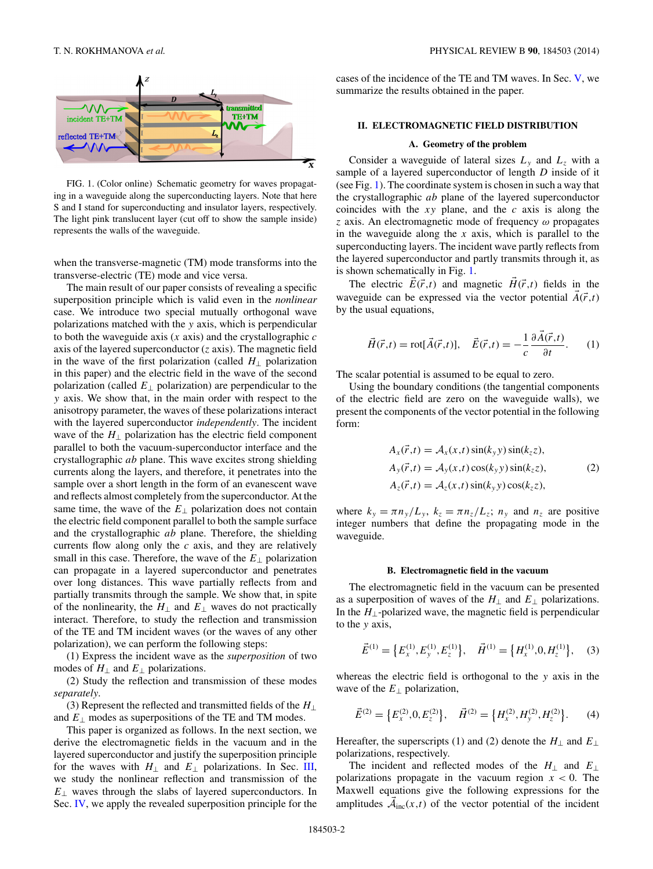<span id="page-1-0"></span>

FIG. 1. (Color online) Schematic geometry for waves propagating in a waveguide along the superconducting layers. Note that here S and I stand for superconducting and insulator layers, respectively. The light pink translucent layer (cut off to show the sample inside) represents the walls of the waveguide.

when the transverse-magnetic (TM) mode transforms into the transverse-electric (TE) mode and vice versa.

The main result of our paper consists of revealing a specific superposition principle which is valid even in the *nonlinear* case. We introduce two special mutually orthogonal wave polarizations matched with the *y* axis, which is perpendicular to both the waveguide axis (*x* axis) and the crystallographic *c* axis of the layered superconductor (*z* axis). The magnetic field in the wave of the first polarization (called  $H_1$  polarization in this paper) and the electric field in the wave of the second polarization (called *E*<sup>⊥</sup> polarization) are perpendicular to the *y* axis. We show that, in the main order with respect to the anisotropy parameter, the waves of these polarizations interact with the layered superconductor *independently*. The incident wave of the *H*<sup>⊥</sup> polarization has the electric field component parallel to both the vacuum-superconductor interface and the crystallographic *ab* plane. This wave excites strong shielding currents along the layers, and therefore, it penetrates into the sample over a short length in the form of an evanescent wave and reflects almost completely from the superconductor. At the same time, the wave of the  $E_{\perp}$  polarization does not contain the electric field component parallel to both the sample surface and the crystallographic *ab* plane. Therefore, the shielding currents flow along only the *c* axis, and they are relatively small in this case. Therefore, the wave of the  $E_{\perp}$  polarization can propagate in a layered superconductor and penetrates over long distances. This wave partially reflects from and partially transmits through the sample. We show that, in spite of the nonlinearity, the  $H_{\perp}$  and  $E_{\perp}$  waves do not practically interact. Therefore, to study the reflection and transmission of the TE and TM incident waves (or the waves of any other polarization), we can perform the following steps:

(1) Express the incident wave as the *superposition* of two modes of  $H_{\perp}$  and  $E_{\perp}$  polarizations.

(2) Study the reflection and transmission of these modes *separately*.

(3) Represent the reflected and transmitted fields of the *H*<sup>⊥</sup> and  $E_{\perp}$  modes as superpositions of the TE and TM modes.

This paper is organized as follows. In the next section, we derive the electromagnetic fields in the vacuum and in the layered superconductor and justify the superposition principle for the waves with  $H_{\perp}$  and  $E_{\perp}$  polarizations. In Sec. [III,](#page-4-0) we study the nonlinear reflection and transmission of the *E*<sup>⊥</sup> waves through the slabs of layered superconductors. In Sec. [IV,](#page-5-0) we apply the revealed superposition principle for the cases of the incidence of the TE and TM waves. In Sec. [V,](#page-7-0) we summarize the results obtained in the paper.

## **II. ELECTROMAGNETIC FIELD DISTRIBUTION**

#### **A. Geometry of the problem**

Consider a waveguide of lateral sizes  $L_y$  and  $L_z$  with a sample of a layered superconductor of length *D* inside of it (see Fig. 1). The coordinate system is chosen in such a way that the crystallographic *ab* plane of the layered superconductor coincides with the *xy* plane, and the *c* axis is along the *z* axis. An electromagnetic mode of frequency *ω* propagates in the waveguide along the *x* axis, which is parallel to the superconducting layers. The incident wave partly reflects from the layered superconductor and partly transmits through it, as is shown schematically in Fig. 1.

The electric  $\vec{E}(\vec{r},t)$  and magnetic  $\vec{H}(\vec{r},t)$  fields in the waveguide can be expressed via the vector potential  $\vec{A}(\vec{r},t)$ by the usual equations,

$$
\vec{H}(\vec{r},t) = \text{rot}[\vec{A}(\vec{r},t)], \quad \vec{E}(\vec{r},t) = -\frac{1}{c} \frac{\partial \vec{A}(\vec{r},t)}{\partial t}.
$$
 (1)

The scalar potential is assumed to be equal to zero.

Using the boundary conditions (the tangential components of the electric field are zero on the waveguide walls), we present the components of the vector potential in the following form:

$$
A_x(\vec{r},t) = A_x(x,t)\sin(k_y y)\sin(k_z z),
$$
  
\n
$$
A_y(\vec{r},t) = A_y(x,t)\cos(k_y y)\sin(k_z z),
$$
  
\n
$$
A_z(\vec{r},t) = A_z(x,t)\sin(k_y y)\cos(k_z z),
$$
\n(2)

where  $k_y = \pi n_y/L_y$ ,  $k_z = \pi n_z/L_z$ ;  $n_y$  and  $n_z$  are positive integer numbers that define the propagating mode in the waveguide.

#### **B. Electromagnetic field in the vacuum**

The electromagnetic field in the vacuum can be presented as a superposition of waves of the  $H_{\perp}$  and  $E_{\perp}$  polarizations. In the  $H_{\perp}$ -polarized wave, the magnetic field is perpendicular to the *y* axis,

$$
\vec{E}^{(1)} = \left\{ E_x^{(1)}, E_y^{(1)}, E_z^{(1)} \right\}, \quad \vec{H}^{(1)} = \left\{ H_x^{(1)}, 0, H_z^{(1)} \right\}, \quad (3)
$$

whereas the electric field is orthogonal to the *y* axis in the wave of the  $E_{\perp}$  polarization,

$$
\vec{E}^{(2)} = \left\{ E_x^{(2)}, 0, E_z^{(2)} \right\}, \quad \vec{H}^{(2)} = \left\{ H_x^{(2)}, H_y^{(2)}, H_z^{(2)} \right\}. \tag{4}
$$

Hereafter, the superscripts (1) and (2) denote the  $H_1$  and  $E_1$ polarizations, respectively.

The incident and reflected modes of the *H*<sup>⊥</sup> and *E*<sup>⊥</sup> polarizations propagate in the vacuum region *x <* 0. The Maxwell equations give the following expressions for the amplitudes  $\mathcal{\vec{A}}_{inc}(x,t)$  of the vector potential of the incident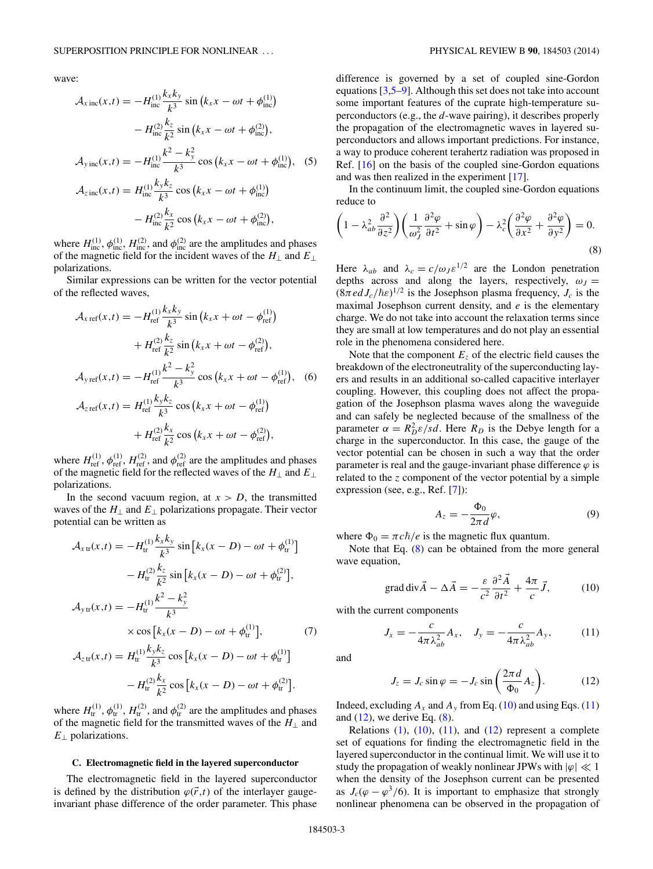<span id="page-2-0"></span>wave:

$$
\mathcal{A}_{x \text{ inc}}(x,t) = -H_{\text{inc}}^{(1)} \frac{k_x k_y}{k^3} \sin (k_x x - \omega t + \phi_{\text{inc}}^{(1)}) \n- H_{\text{inc}}^{(2)} \frac{k_z}{k^2} \sin (k_x x - \omega t + \phi_{\text{inc}}^{(2)}), \n\mathcal{A}_{y \text{ inc}}(x,t) = -H_{\text{inc}}^{(1)} \frac{k^2 - k_y^2}{k^3} \cos (k_x x - \omega t + \phi_{\text{inc}}^{(1)}),
$$
 (5)  
\n
$$
\mathcal{A}_{z \text{ inc}}(x,t) = H_{\text{inc}}^{(1)} \frac{k_y k_z}{k^3} \cos (k_x x - \omega t + \phi_{\text{inc}}^{(1)}) \n- H_{\text{inc}}^{(2)} \frac{k_x}{k^2} \cos (k_x x - \omega t + \phi_{\text{inc}}^{(2)}),
$$

where  $H_{\text{inc}}^{(1)}$ ,  $\phi_{\text{inc}}^{(1)}$ ,  $H_{\text{inc}}^{(2)}$ , and  $\phi_{\text{inc}}^{(2)}$  are the amplitudes and phases of the magnetic field for the incident waves of the *H*<sup>⊥</sup> and *E*<sup>⊥</sup> polarizations.

Similar expressions can be written for the vector potential of the reflected waves,

$$
\mathcal{A}_{x \text{ ref}}(x, t) = -H_{\text{ref}}^{(1)} \frac{k_x k_y}{k^3} \sin (k_x x + \omega t - \phi_{\text{ref}}^{(1)}) \n+ H_{\text{ref}}^{(2)} \frac{k_z}{k^2} \sin (k_x x + \omega t - \phi_{\text{ref}}^{(2)}), \n\mathcal{A}_{y \text{ref}}(x, t) = -H_{\text{ref}}^{(1)} \frac{k^2 - k_y^2}{k^3} \cos (k_x x + \omega t - \phi_{\text{ref}}^{(1)}),
$$
(6)

$$
A_{z \text{ ref}}(x,t) = H_{\text{ref}}^{(1)} \frac{k_y k_z}{k^3} \cos (k_x x + \omega t - \phi_{\text{ref}}^{(1)}) + H_{\text{ref}}^{(2)} \frac{k_x}{k^2} \cos (k_x x + \omega t - \phi_{\text{ref}}^{(2)}),
$$

where  $H_{\text{ref}}^{(1)}$ ,  $\phi_{\text{ref}}^{(1)}$ ,  $H_{\text{ref}}^{(2)}$ , and  $\phi_{\text{ref}}^{(2)}$  are the amplitudes and phases of the magnetic field for the reflected waves of the *H*<sup>⊥</sup> and *E*<sup>⊥</sup> polarizations.

In the second vacuum region, at  $x > D$ , the transmitted waves of the  $H_{\perp}$  and  $E_{\perp}$  polarizations propagate. Their vector potential can be written as

$$
\mathcal{A}_{x \text{tr}}(x,t) = -H_{\text{tr}}^{(1)} \frac{k_x k_y}{k^3} \sin \left[ k_x (x - D) - \omega t + \phi_{\text{tr}}^{(1)} \right] \n- H_{\text{tr}}^{(2)} \frac{k_z}{k^2} \sin \left[ k_x (x - D) - \omega t + \phi_{\text{tr}}^{(2)} \right],
$$
\n
$$
\mathcal{A}_{y \text{tr}}(x,t) = -H_{\text{tr}}^{(1)} \frac{k^2 - k_y^2}{k^3} \n\times \cos \left[ k_x (x - D) - \omega t + \phi_{\text{tr}}^{(1)} \right],
$$
\n(7)

$$
\mathcal{A}_{z \text{ tr}}(x,t) = H_{\text{tr}}^{(1)} \frac{k_y k_z}{k^3} \cos \left[ k_x (x - D) - \omega t + \phi_{\text{tr}}^{(1)} \right] - H_{\text{tr}}^{(2)} \frac{k_x}{k^2} \cos \left[ k_x (x - D) - \omega t + \phi_{\text{tr}}^{(2)} \right].
$$

where  $H_{tr}^{(1)}$ ,  $\phi_{tr}^{(1)}$ ,  $H_{tr}^{(2)}$ , and  $\phi_{tr}^{(2)}$  are the amplitudes and phases of the magnetic field for the transmitted waves of the *H*<sup>⊥</sup> and *E*<sup>⊥</sup> polarizations.

#### **C. Electromagnetic field in the layered superconductor**

The electromagnetic field in the layered superconductor is defined by the distribution  $\varphi(\vec{r},t)$  of the interlayer gaugeinvariant phase difference of the order parameter. This phase difference is governed by a set of coupled sine-Gordon equations [\[3,5–9\]](#page-7-0). Although this set does not take into account some important features of the cuprate high-temperature superconductors (e.g., the *d*-wave pairing), it describes properly the propagation of the electromagnetic waves in layered superconductors and allows important predictions. For instance, a way to produce coherent terahertz radiation was proposed in Ref. [\[16\]](#page-8-0) on the basis of the coupled sine-Gordon equations and was then realized in the experiment [\[17\]](#page-8-0).

In the continuum limit, the coupled sine-Gordon equations reduce to

$$
\left(1 - \lambda_{ab}^2 \frac{\partial^2}{\partial z^2}\right) \left(\frac{1}{\omega_J^2} \frac{\partial^2 \varphi}{\partial t^2} + \sin \varphi\right) - \lambda_c^2 \left(\frac{\partial^2 \varphi}{\partial x^2} + \frac{\partial^2 \varphi}{\partial y^2}\right) = 0.
$$
\n(8)

Here  $\lambda_{ab}$  and  $\lambda_c = c/\omega_J \varepsilon^{1/2}$  are the London penetration depths across and along the layers, respectively,  $\omega_J =$  $(8\pi e d J_c/\hbar \varepsilon)^{1/2}$  is the Josephson plasma frequency,  $J_c$  is the maximal Josephson current density, and *e* is the elementary charge. We do not take into account the relaxation terms since they are small at low temperatures and do not play an essential role in the phenomena considered here.

Note that the component  $E<sub>z</sub>$  of the electric field causes the breakdown of the electroneutrality of the superconducting layers and results in an additional so-called capacitive interlayer coupling. However, this coupling does not affect the propagation of the Josephson plasma waves along the waveguide and can safely be neglected because of the smallness of the parameter  $\alpha = R_D^2 \varepsilon / s d$ . Here  $R_D$  is the Debye length for a charge in the superconductor. In this case, the gauge of the vector potential can be chosen in such a way that the order parameter is real and the gauge-invariant phase difference  $\varphi$  is related to the *z* component of the vector potential by a simple expression (see, e.g., Ref. [\[7\]](#page-7-0)):

$$
A_z = -\frac{\Phi_0}{2\pi d}\varphi,\tag{9}
$$

where  $\Phi_0 = \pi c \hbar/e$  is the magnetic flux quantum.

Note that Eq. (8) can be obtained from the more general wave equation,

grad div
$$
\vec{A} - \Delta \vec{A} = -\frac{\varepsilon}{c^2} \frac{\partial^2 \vec{A}}{\partial t^2} + \frac{4\pi}{c} \vec{J},
$$
 (10)

with the current components

$$
J_x = -\frac{c}{4\pi\lambda_{ab}^2} A_x, \quad J_y = -\frac{c}{4\pi\lambda_{ab}^2} A_y,\tag{11}
$$

and

$$
J_z = J_c \sin \varphi = -J_c \sin \left(\frac{2\pi d}{\Phi_0} A_z\right).
$$
 (12)

Indeed, excluding  $A_x$  and  $A_y$  from Eq. (10) and using Eqs. (11) and  $(12)$ , we derive Eq.  $(8)$ .

Relations  $(1)$ ,  $(10)$ ,  $(11)$ , and  $(12)$  represent a complete set of equations for finding the electromagnetic field in the layered superconductor in the continual limit. We will use it to study the propagation of weakly nonlinear JPWs with  $|\varphi| \ll 1$ when the density of the Josephson current can be presented as  $J_c(\varphi - \varphi^3/6)$ . It is important to emphasize that strongly nonlinear phenomena can be observed in the propagation of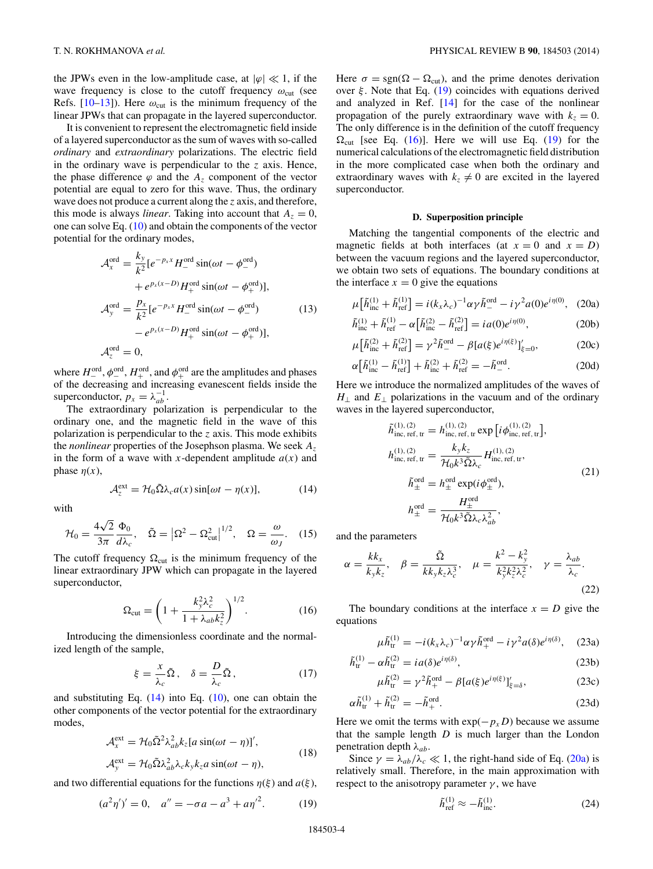<span id="page-3-0"></span>the JPWs even in the low-amplitude case, at  $|\varphi| \ll 1$ , if the wave frequency is close to the cutoff frequency  $\omega_{\text{cut}}$  (see Refs.  $[10-13]$  $[10-13]$ ). Here  $\omega_{\text{cut}}$  is the minimum frequency of the linear JPWs that can propagate in the layered superconductor.

It is convenient to represent the electromagnetic field inside of a layered superconductor as the sum of waves with so-called *ordinary* and *extraordinary* polarizations. The electric field in the ordinary wave is perpendicular to the *z* axis. Hence, the phase difference  $\varphi$  and the  $A_z$  component of the vector potential are equal to zero for this wave. Thus, the ordinary wave does not produce a current along the *z* axis, and therefore, this mode is always *linear*. Taking into account that  $A_z = 0$ , one can solve Eq.  $(10)$  and obtain the components of the vector potential for the ordinary modes,

$$
\mathcal{A}_{x}^{\text{ord}} = \frac{k_{y}}{k^{2}} [e^{-p_{x}x} H_{-}^{\text{ord}} \sin(\omega t - \phi_{-}^{\text{ord}}) \n+ e^{p_{x}(x-D)} H_{+}^{\text{ord}} \sin(\omega t - \phi_{+}^{\text{ord}})],
$$
\n
$$
\mathcal{A}_{y}^{\text{ord}} = \frac{p_{x}}{k^{2}} [e^{-p_{x}x} H_{-}^{\text{ord}} \sin(\omega t - \phi_{-}^{\text{ord}}) \n- e^{p_{x}(x-D)} H_{+}^{\text{ord}} \sin(\omega t - \phi_{+}^{\text{ord}})],
$$
\n(13)\n
$$
\mathcal{A}_{z}^{\text{ord}} = 0,
$$

where  $H_-^{\text{ord}}, \phi_-^{\text{ord}}, H_+^{\text{ord}},$  and  $\phi_+^{\text{ord}}$  are the amplitudes and phases of the decreasing and increasing evanescent fields inside the superconductor,  $p_x = \lambda_{ab}^{-1}$ .

The extraordinary polarization is perpendicular to the ordinary one, and the magnetic field in the wave of this polarization is perpendicular to the *z* axis. This mode exhibits the *nonlinear* properties of the Josephson plasma. We seek *Az* in the form of a wave with *x*-dependent amplitude  $a(x)$  and phase  $\eta(x)$ ,

$$
\mathcal{A}_z^{\text{ext}} = \mathcal{H}_0 \tilde{\Omega} \lambda_c a(x) \sin[\omega t - \eta(x)],\tag{14}
$$

with

$$
\mathcal{H}_0 = \frac{4\sqrt{2}}{3\pi} \frac{\Phi_0}{d\lambda_c}, \quad \tilde{\Omega} = \left| \Omega^2 - \Omega_{\text{cut}}^2 \right|^{1/2}, \quad \Omega = \frac{\omega}{\omega_J}.
$$
 (15)

The cutoff frequency  $\Omega_{\text{cut}}$  is the minimum frequency of the linear extraordinary JPW which can propagate in the layered superconductor,

$$
\Omega_{\rm cut} = \left(1 + \frac{k_y^2 \lambda_c^2}{1 + \lambda_{ab} k_z^2}\right)^{1/2}.
$$
 (16)

Introducing the dimensionless coordinate and the normalized length of the sample,

$$
\xi = \frac{x}{\lambda_c} \tilde{\Omega}, \quad \delta = \frac{D}{\lambda_c} \tilde{\Omega}, \tag{17}
$$

and substituting Eq.  $(14)$  into Eq.  $(10)$ , one can obtain the other components of the vector potential for the extraordinary modes,

$$
\mathcal{A}_{x}^{\text{ext}} = \mathcal{H}_{0} \tilde{\Omega}^{2} \lambda_{ab}^{2} k_{z} [a \sin(\omega t - \eta)]',
$$
  

$$
\mathcal{A}_{y}^{\text{ext}} = \mathcal{H}_{0} \tilde{\Omega} \lambda_{ab}^{2} \lambda_{c} k_{y} k_{z} a \sin(\omega t - \eta),
$$
 (18)

and two differential equations for the functions  $\eta(\xi)$  and  $a(\xi)$ ,

$$
(a2 \eta')' = 0, \quad a'' = -\sigma a - a3 + a \eta'2.
$$
 (19)

Here  $\sigma = \text{sgn}(\Omega - \Omega_{\text{cut}})$ , and the prime denotes derivation over *ξ* . Note that Eq. (19) coincides with equations derived and analyzed in Ref. [\[14\]](#page-8-0) for the case of the nonlinear propagation of the purely extraordinary wave with  $k_z = 0$ . The only difference is in the definition of the cutoff frequency  $\Omega_{\text{cut}}$  [see Eq. (16)]. Here we will use Eq. (19) for the numerical calculations of the electromagnetic field distribution in the more complicated case when both the ordinary and extraordinary waves with  $k_z \neq 0$  are excited in the layered superconductor.

## **D. Superposition principle**

Matching the tangential components of the electric and magnetic fields at both interfaces (at  $x = 0$  and  $x = D$ ) between the vacuum regions and the layered superconductor, we obtain two sets of equations. The boundary conditions at the interface  $x = 0$  give the equations

$$
\mu \left[ \tilde{h}_{\text{inc}}^{(1)} + \tilde{h}_{\text{ref}}^{(1)} \right] = i (k_x \lambda_c)^{-1} \alpha \gamma \tilde{h}_-^{\text{ord}} - i \gamma^2 a(0) e^{i \eta(0)}, \quad (20a)
$$

$$
\tilde{h}_{\text{inc}}^{(1)} + \tilde{h}_{\text{ref}}^{(1)} - \alpha \left[ \tilde{h}_{\text{inc}}^{(2)} - \tilde{h}_{\text{ref}}^{(2)} \right] = ia(0)e^{i\eta(0)},\tag{20b}
$$

$$
\mu[\tilde{h}_{\text{inc}}^{(2)} + \tilde{h}_{\text{ref}}^{(2)}] = \gamma^2 \tilde{h}_{-}^{\text{ord}} - \beta [a(\xi)e^{i\eta(\xi)}]_{\xi=0}',\tag{20c}
$$

$$
\alpha \left[ \tilde{h}_{\text{inc}}^{(1)} - \tilde{h}_{\text{ref}}^{(1)} \right] + \tilde{h}_{\text{inc}}^{(2)} + \tilde{h}_{\text{ref}}^{(2)} = -\tilde{h}_{-}^{\text{ord}}.
$$
 (20d)

Here we introduce the normalized amplitudes of the waves of *H*<sub>⊥</sub> and *E*<sub>⊥</sub> polarizations in the vacuum and of the ordinary waves in the layered superconductor,

$$
\tilde{h}_{\text{inc, ref, tr}}^{(1), (2)} = h_{\text{inc, ref, tr}}^{(1), (2)} \exp\left[i\phi_{\text{inc, ref, tr}}^{(1), (2)}\right],
$$
\n
$$
h_{\text{inc, ref, tr}}^{(1), (2)} = \frac{k_y k_z}{\mathcal{H}_0 k^3 \tilde{\Omega} \lambda_c} H_{\text{inc, ref, tr}}^{(1), (2)},
$$
\n
$$
\tilde{h}_{\pm}^{\text{ord}} = h_{\pm}^{\text{ord}} \exp(i\phi_{\pm}^{\text{ord}}),
$$
\n
$$
h_{\pm}^{\text{ord}} = \frac{H_{\pm}^{\text{ord}}}{\mathcal{H}_0 k^3 \tilde{\Omega} \lambda_c \lambda_{ab}^2},
$$
\n(21)

and the parameters

$$
\alpha = \frac{k k_x}{k_y k_z}, \quad \beta = \frac{\tilde{\Omega}}{k k_y k_z \lambda_c^3}, \quad \mu = \frac{k^2 - k_y^2}{k_y^2 k_z^2 \lambda_c^2}, \quad \gamma = \frac{\lambda_{ab}}{\lambda_c}.
$$
\n(22)

The boundary conditions at the interface  $x = D$  give the equations

$$
\mu \tilde{h}_{tr}^{(1)} = -i(k_x \lambda_c)^{-1} \alpha \gamma \tilde{h}_+^{\text{ord}} - i \gamma^2 a(\delta) e^{i\eta(\delta)}, \quad (23a)
$$

$$
\tilde{h}_{tr}^{(1)} - \alpha \tilde{h}_{tr}^{(2)} = i a(\delta) e^{i \eta(\delta)},\tag{23b}
$$

$$
\mu \tilde{h}_{tr}^{(2)} = \gamma^2 \tilde{h}_{+}^{\text{ord}} - \beta [a(\xi) e^{i\eta(\xi)}]_{\xi = \delta}^{\ell}, \tag{23c}
$$

$$
\alpha \tilde{h}_{tr}^{(1)} + \tilde{h}_{tr}^{(2)} = -\tilde{h}_{+}^{\text{ord}}.
$$
\n(23d)

Here we omit the terms with  $exp(-p_xD)$  because we assume that the sample length *D* is much larger than the London penetration depth  $\lambda_{ab}$ .

Since  $\gamma = \lambda_{ab}/\lambda_c \ll 1$ , the right-hand side of Eq. (20a) is relatively small. Therefore, in the main approximation with respect to the anisotropy parameter  $\gamma$ , we have

$$
\tilde{h}_{\text{ref}}^{(1)} \approx -\tilde{h}_{\text{inc}}^{(1)}.\tag{24}
$$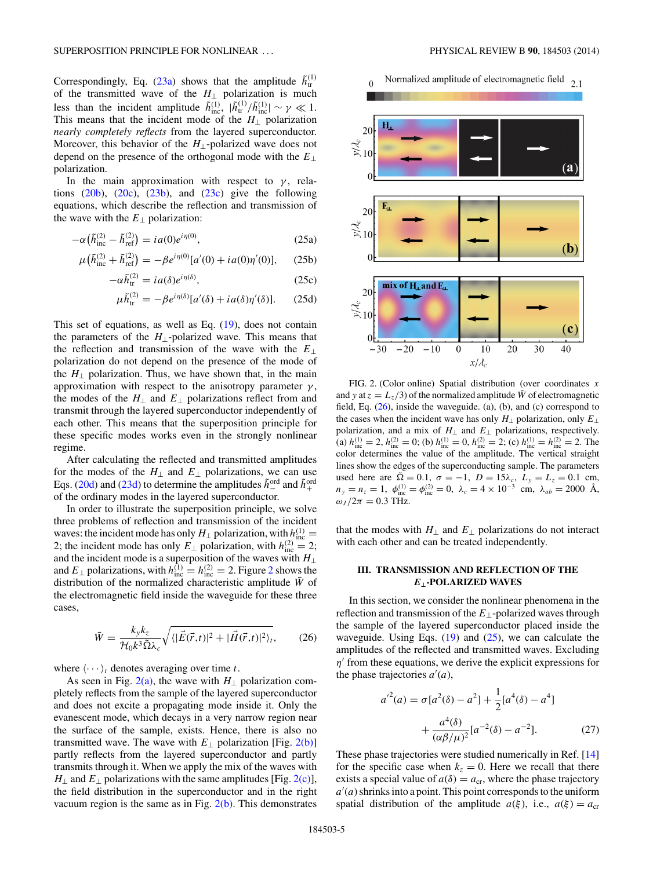<span id="page-4-0"></span>Correspondingly, Eq. [\(23a\)](#page-3-0) shows that the amplitude  $\tilde{h}_{tr}^{(1)}$ of the transmitted wave of the *H*<sup>⊥</sup> polarization is much less than the incident amplitude  $\tilde{h}^{(1)}_{\text{inc}}$ ,  $|\tilde{h}^{(1)}_{\text{tr}}/\tilde{h}^{(1)}_{\text{inc}}| \sim \gamma \ll 1$ . This means that the incident mode of the  $H_{\perp}$  polarization *nearly completely reflects* from the layered superconductor. Moreover, this behavior of the *H*⊥-polarized wave does not depend on the presence of the orthogonal mode with the *E*<sup>⊥</sup> polarization.

In the main approximation with respect to  $\gamma$ , relations  $(20b)$ ,  $(20c)$ ,  $(23b)$ , and  $(23c)$  give the following equations, which describe the reflection and transmission of the wave with the  $E_{\perp}$  polarization:

$$
-\alpha(\tilde{h}_{\text{inc}}^{(2)} - \tilde{h}_{\text{ref}}^{(2)}) = ia(0)e^{i\eta(0)},\tag{25a}
$$

$$
\mu(\tilde{h}_{\text{inc}}^{(2)} + \tilde{h}_{\text{ref}}^{(2)}) = -\beta e^{i\eta(0)} [a'(0) + i a(0)\eta'(0)], \quad (25b)
$$

$$
-\alpha \tilde{h}_{tr}^{(2)} = i a(\delta) e^{i \eta(\delta)}, \qquad (25c)
$$

$$
\mu \tilde{h}_{tr}^{(2)} = -\beta e^{i\eta(\delta)} [a'(\delta) + i a(\delta)\eta'(\delta)].
$$
 (25d)

This set of equations, as well as Eq. [\(19\)](#page-3-0), does not contain the parameters of the  $H_{\perp}$ -polarized wave. This means that the reflection and transmission of the wave with the *E*<sup>⊥</sup> polarization do not depend on the presence of the mode of the  $H_{\perp}$  polarization. Thus, we have shown that, in the main approximation with respect to the anisotropy parameter  $\gamma$ , the modes of the  $H_{\perp}$  and  $E_{\perp}$  polarizations reflect from and transmit through the layered superconductor independently of each other. This means that the superposition principle for these specific modes works even in the strongly nonlinear regime.

After calculating the reflected and transmitted amplitudes for the modes of the  $H_{\perp}$  and  $E_{\perp}$  polarizations, we can use Eqs. [\(20d\)](#page-3-0) and [\(23d\)](#page-3-0) to determine the amplitudes  $\tilde{h}^{\text{ord}}_{-}$  and  $\tilde{h}^{\text{ord}}_{+}$ of the ordinary modes in the layered superconductor.

In order to illustrate the superposition principle, we solve three problems of reflection and transmission of the incident waves: the incident mode has only  $H_{\perp}$  polarization, with  $h_{\text{inc}}^{(1)} =$ 2; the incident mode has only  $E_{\perp}$  polarization, with  $h_{\text{inc}}^{(2)} = 2$ ; and the incident mode is a superposition of the waves with  $H_{\perp}$ and  $E_{\perp}$  polarizations, with  $h_{\text{inc}}^{(1)} = h_{\text{inc}}^{(2)} = 2$ . Figure 2 shows the distribution of the normalized characteristic amplitude  $\bar{W}$  of the electromagnetic field inside the waveguide for these three cases,

$$
\bar{W} = \frac{k_y k_z}{\mathcal{H}_0 k^3 \tilde{\Omega} \lambda_c} \sqrt{\langle |\vec{E}(\vec{r},t)|^2 + |\vec{H}(\vec{r},t)|^2 \rangle_t},\qquad(26)
$$

where  $\langle \cdots \rangle_t$  denotes averaging over time *t*.

As seen in Fig.  $2(a)$ , the wave with *H*<sub>⊥</sub> polarization completely reflects from the sample of the layered superconductor and does not excite a propagating mode inside it. Only the evanescent mode, which decays in a very narrow region near the surface of the sample, exists. Hence, there is also no transmitted wave. The wave with  $E_{\perp}$  polarization [Fig. 2(b)] partly reflects from the layered superconductor and partly transmits through it. When we apply the mix of the waves with *H*<sub>⊥</sub> and *E*<sub>⊥</sub> polarizations with the same amplitudes [Fig. 2(c)], the field distribution in the superconductor and in the right vacuum region is the same as in Fig.  $2(b)$ . This demonstrates

# Normalized amplitude of electromagnetic field  $_{2.1}$

 $\Omega$ 



FIG. 2. (Color online) Spatial distribution (over coordinates *x* and *y* at  $z = L_z/3$  of the normalized amplitude  $\bar{W}$  of electromagnetic field, Eq.  $(26)$ , inside the waveguide.  $(a)$ ,  $(b)$ , and  $(c)$  correspond to the cases when the incident wave has only  $H_{\perp}$  polarization, only  $E_{\perp}$ polarization, and a mix of *H*<sup>⊥</sup> and *E*<sup>⊥</sup> polarizations, respectively. (a)  $h_{\text{inc}}^{(1)} = 2$ ,  $h_{\text{inc}}^{(2)} = 0$ ; (b)  $h_{\text{inc}}^{(1)} = 0$ ,  $h_{\text{inc}}^{(2)} = 2$ ; (c)  $h_{\text{inc}}^{(1)} = h_{\text{inc}}^{(2)} = 2$ . The color determines the value of the amplitude. The vertical straight lines show the edges of the superconducting sample. The parameters used here are  $\tilde{\Omega} = 0.1$ ,  $\sigma = -1$ ,  $D = 15\lambda_c$ ,  $L_y = L_z = 0.1$  cm,  $n_y = n_z = 1$ ,  $\phi_{\text{inc}}^{(1)} = \phi_{\text{inc}}^{(2)} = 0$ ,  $\lambda_c = 4 \times 10^{-3}$  cm,  $\lambda_{ab} = 2000$  Å,  $\omega_J/2\pi = 0.3$  THz.

that the modes with  $H_{\perp}$  and  $E_{\perp}$  polarizations do not interact with each other and can be treated independently.

## **III. TRANSMISSION AND REFLECTION OF THE** *E***⊥-POLARIZED WAVES**

In this section, we consider the nonlinear phenomena in the reflection and transmission of the *E*⊥-polarized waves through the sample of the layered superconductor placed inside the waveguide. Using Eqs.  $(19)$  and  $(25)$ , we can calculate the amplitudes of the reflected and transmitted waves. Excluding *η*' from these equations, we derive the explicit expressions for the phase trajectories  $a'(a)$ ,

$$
a'^{2}(a) = \sigma[a^{2}(\delta) - a^{2}] + \frac{1}{2}[a^{4}(\delta) - a^{4}] + \frac{a^{4}(\delta)}{(\alpha\beta/\mu)^{2}}[a^{-2}(\delta) - a^{-2}].
$$
 (27)

These phase trajectories were studied numerically in Ref. [\[14\]](#page-8-0) for the specific case when  $k<sub>z</sub> = 0$ . Here we recall that there exists a special value of  $a(\delta) = a_{cr}$ , where the phase trajectory *a* (*a*) shrinks into a point. This point corresponds to the uniform spatial distribution of the amplitude  $a(\xi)$ , i.e.,  $a(\xi) = a_{cr}$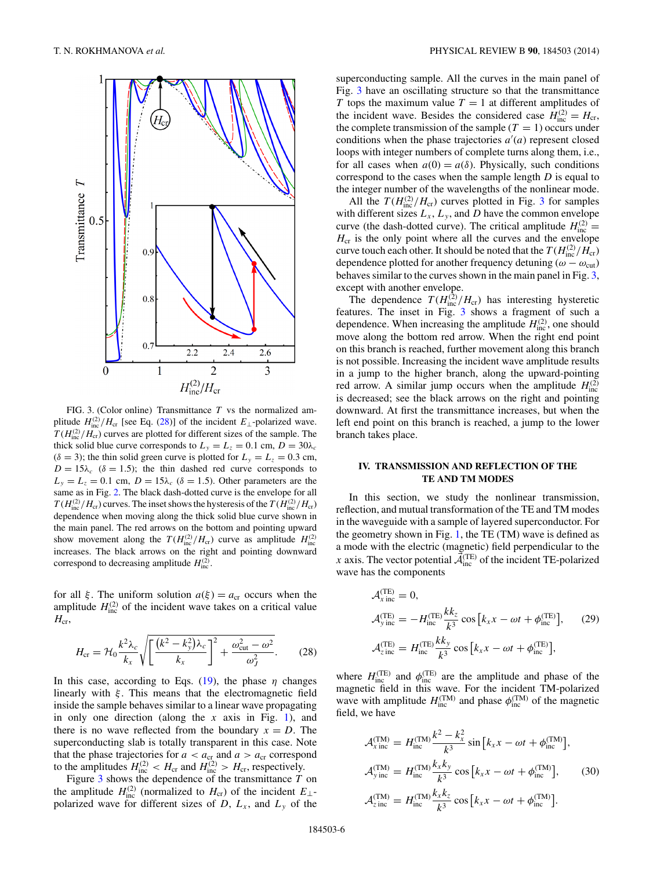<span id="page-5-0"></span>

FIG. 3. (Color online) Transmittance *T* vs the normalized amplitude  $H_{\text{inc}}^{(2)}/H_{\text{cr}}$  [see Eq. (28)] of the incident  $E_{\perp}$ -polarized wave.  $T(H_{\text{inc}}^{(2)}/H_{\text{cr}})$  curves are plotted for different sizes of the sample. The thick solid blue curve corresponds to  $L_y = L_z = 0.1$  cm,  $D = 30\lambda_c$  $(\delta = 3)$ ; the thin solid green curve is plotted for  $L_y = L_z = 0.3$  cm,  $D = 15\lambda_c$  ( $\delta = 1.5$ ); the thin dashed red curve corresponds to  $L<sub>y</sub> = L<sub>z</sub> = 0.1$  cm,  $D = 15\lambda_c$  ( $\delta = 1.5$ ). Other parameters are the same as in Fig. [2.](#page-4-0) The black dash-dotted curve is the envelope for all  $T(H_{\text{inc}}^{(2)}/H_{\text{cr}})$  curves. The inset shows the hysteresis of the  $T(H_{\text{inc}}^{(2)}/H_{\text{cr}})$ dependence when moving along the thick solid blue curve shown in the main panel. The red arrows on the bottom and pointing upward show movement along the  $T(H_{\text{inc}}^{(2)}/H_{\text{cr}})$  curve as amplitude  $H_{\text{inc}}^{(2)}$ increases. The black arrows on the right and pointing downward correspond to decreasing amplitude  $H_{\text{inc}}^{(2)}$ .

for all *ξ*. The uniform solution  $a(\xi) = a_{cr}$  occurs when the amplitude  $H_{\text{inc}}^{(2)}$  of the incident wave takes on a critical value  $H_{cr}$ 

$$
H_{\rm cr} = \mathcal{H}_0 \frac{k^2 \lambda_c}{k_x} \sqrt{\left[ \frac{(k^2 - k_y^2) \lambda_c}{k_x} \right]^2 + \frac{\omega_{\rm cut}^2 - \omega^2}{\omega_J^2}}.
$$
 (28)

In this case, according to Eqs.  $(19)$ , the phase *η* changes linearly with *ξ* . This means that the electromagnetic field inside the sample behaves similar to a linear wave propagating in only one direction (along the *x* axis in Fig. [1\)](#page-1-0), and there is no wave reflected from the boundary  $x = D$ . The superconducting slab is totally transparent in this case. Note that the phase trajectories for  $a < a_{cr}$  and  $a > a_{cr}$  correspond to the amplitudes  $H_{\text{inc}}^{(2)} < H_{\text{cr}}$  and  $H_{\text{inc}}^{(2)} > H_{\text{cr}}$ , respectively.

Figure 3 shows the dependence of the transmittance *T* on the amplitude  $H_{\text{inc}}^{(2)}$  (normalized to  $H_{\text{cr}}$ ) of the incident  $E_{\perp}$ polarized wave for different sizes of  $D$ ,  $L_x$ , and  $L_y$  of the superconducting sample. All the curves in the main panel of Fig. 3 have an oscillating structure so that the transmittance *T* tops the maximum value  $T = 1$  at different amplitudes of the incident wave. Besides the considered case  $H_{\text{inc}}^{(2)} = H_{\text{cr}}$ , the complete transmission of the sample  $(T = 1)$  occurs under conditions when the phase trajectories  $a'(a)$  represent closed loops with integer numbers of complete turns along them, i.e., for all cases when  $a(0) = a(\delta)$ . Physically, such conditions correspond to the cases when the sample length *D* is equal to the integer number of the wavelengths of the nonlinear mode.

All the  $T(H_{\text{inc}}^{(2)}/H_{\text{cr}})$  curves plotted in Fig. 3 for samples with different sizes  $L_x$ ,  $L_y$ , and *D* have the common envelope curve (the dash-dotted curve). The critical amplitude  $H_{\text{inc}}^{(2)} =$  $H_{cr}$  is the only point where all the curves and the envelope curve touch each other. It should be noted that the  $T(H_{\rm inc}^{(2)}/H_{\rm cr})$ dependence plotted for another frequency detuning ( $\omega - \omega_{\text{cut}}$ ) behaves similar to the curves shown in the main panel in Fig. 3, except with another envelope.

The dependence  $T(H_{\text{inc}}^{(2)}/H_{\text{cr}})$  has interesting hysteretic features. The inset in Fig. 3 shows a fragment of such a dependence. When increasing the amplitude  $H_{\text{inc}}^{(2)}$ , one should move along the bottom red arrow. When the right end point on this branch is reached, further movement along this branch is not possible. Increasing the incident wave amplitude results in a jump to the higher branch, along the upward-pointing red arrow. A similar jump occurs when the amplitude  $H_{\text{inc}}^{(2)}$ is decreased; see the black arrows on the right and pointing downward. At first the transmittance increases, but when the left end point on this branch is reached, a jump to the lower branch takes place.

#### **IV. TRANSMISSION AND REFLECTION OF THE TE AND TM MODES**

In this section, we study the nonlinear transmission, reflection, and mutual transformation of the TE and TM modes in the waveguide with a sample of layered superconductor. For the geometry shown in Fig. [1,](#page-1-0) the TE (TM) wave is defined as a mode with the electric (magnetic) field perpendicular to the *x* axis. The vector potential  $\vec{\mathcal{A}}_{\text{inc}}^{(\text{TE})}$  of the incident TE-polarized wave has the components

$$
\mathcal{A}_{x \text{ inc}}^{(\text{TE})} = 0,
$$
  
\n
$$
\mathcal{A}_{y \text{ inc}}^{(\text{TE})} = -H_{\text{inc}}^{(\text{TE})} \frac{k k_z}{k^3} \cos \left[ k_x x - \omega t + \phi_{\text{inc}}^{(\text{TE})} \right], \qquad (29)
$$
  
\n
$$
\mathcal{A}_{z \text{ inc}}^{(\text{TE})} = H_{\text{inc}}^{(\text{TE})} \frac{k k_y}{k^3} \cos \left[ k_x x - \omega t + \phi_{\text{inc}}^{(\text{TE})} \right],
$$

where  $H_{\text{inc}}^{(\text{TE})}$  and  $\phi_{\text{inc}}^{(\text{TE})}$  are the amplitude and phase of the magnetic field in this wave. For the incident TM-polarized wave with amplitude  $H_{\text{inc}}^{(\text{TM})}$  and phase  $\phi_{\text{inc}}^{(\text{TM})}$  of the magnetic field, we have

$$
\mathcal{A}_{\text{x inc}}^{(\text{TM})} = H_{\text{inc}}^{(\text{TM})} \frac{k^2 - k_x^2}{k^3} \sin \left[ k_x x - \omega t + \phi_{\text{inc}}^{(\text{TM})} \right],
$$
  
\n
$$
\mathcal{A}_{\text{y inc}}^{(\text{TM})} = H_{\text{inc}}^{(\text{TM})} \frac{k_x k_y}{k^3} \cos \left[ k_x x - \omega t + \phi_{\text{inc}}^{(\text{TM})} \right], \qquad (30)
$$
  
\n
$$
\mathcal{A}_{\text{z inc}}^{(\text{TM})} = H_{\text{inc}}^{(\text{TM})} \frac{k_x k_z}{k^3} \cos \left[ k_x x - \omega t + \phi_{\text{inc}}^{(\text{TM})} \right].
$$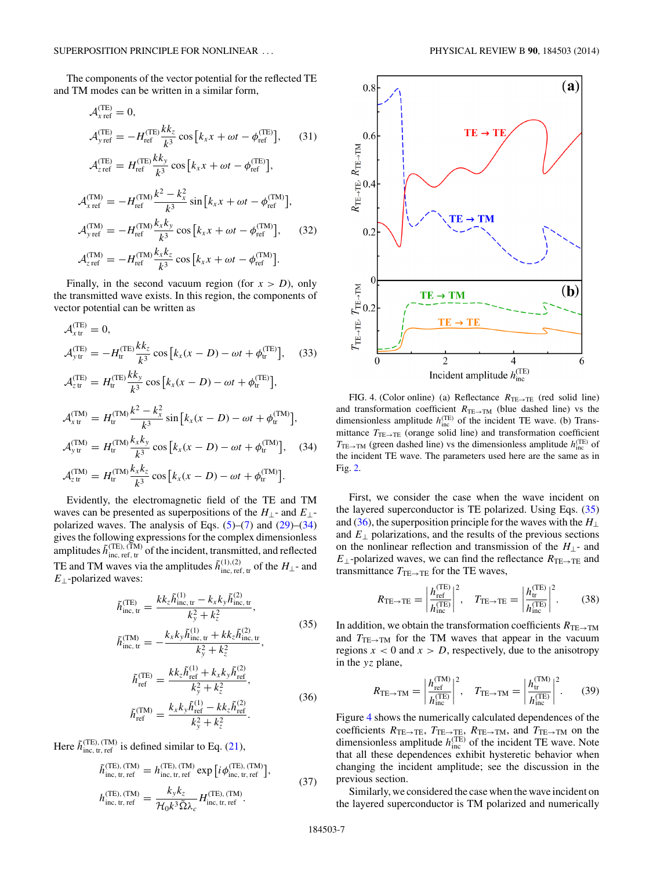The components of the vector potential for the reflected TE and TM modes can be written in a similar form,

$$
\mathcal{A}_{x \text{ ref}}^{(\text{TE})} = 0,
$$
\n
$$
\mathcal{A}_{y \text{ ref}}^{(\text{TE})} = -H_{\text{ref}}^{(\text{TE})} \frac{k k_z}{k^3} \cos \left[ k_x x + \omega t - \phi_{\text{ref}}^{(\text{TE})} \right], \qquad (31)
$$
\n
$$
\mathcal{A}_{z \text{ ref}}^{(\text{TE})} = H_{\text{ref}}^{(\text{TE})} \frac{k k_y}{k^3} \cos \left[ k_x x + \omega t - \phi_{\text{ref}}^{(\text{TE})} \right],
$$
\n
$$
\mathcal{A}_{x \text{ ref}}^{(\text{TM})} = -H_{\text{ref}}^{(\text{TM})} \frac{k^2 - k_x^2}{k^3} \sin \left[ k_x x + \omega t - \phi_{\text{ref}}^{(\text{TM})} \right],
$$
\n
$$
\mathcal{A}_{y \text{ ref}}^{(\text{TM})} = -H_{\text{ref}}^{(\text{TM})} \frac{k_x k_y}{k^3} \cos \left[ k_x x + \omega t - \phi_{\text{ref}}^{(\text{TM})} \right], \qquad (32)
$$

$$
\mathcal{A}_{z\text{ ref}}^{(\text{TM})} = -H_{\text{ref}}^{(\text{TM})} \frac{k_x k_z}{k^3} \cos \left[ k_x x + \omega t - \phi_{\text{ref}}^{(\text{TM})} \right].
$$

Finally, in the second vacuum region (for  $x > D$ ), only the transmitted wave exists. In this region, the components of vector potential can be written as

$$
\mathcal{A}_{x}^{(\text{TE})} = 0,
$$
\n
$$
\mathcal{A}_{y}^{(\text{TE})} = -H_{tr}^{(\text{TE})} \frac{k k_z}{k^3} \cos [k_x(x - D) - \omega t + \phi_{tr}^{(\text{TE})}], \quad (33)
$$
\n
$$
\mathcal{A}_{ztr}^{(\text{TE})} = H_{tr}^{(\text{TE})} \frac{k k_y}{k^3} \cos [k_x(x - D) - \omega t + \phi_{tr}^{(\text{TE})}],
$$
\n
$$
\mathcal{A}_{xtr}^{(\text{TM})} = H_{tr}^{(\text{TM})} \frac{k^2 - k_x^2}{k^3} \sin [k_x(x - D) - \omega t + \phi_{tr}^{(\text{TM})}],
$$
\n
$$
\mathcal{A}_{ytr}^{(\text{TM})} = H_{tr}^{(\text{TM})} \frac{k_x k_y}{k^3} \cos [k_x(x - D) - \omega t + \phi_{tr}^{(\text{TM})}], \quad (34)
$$
\n
$$
\mathcal{A}_{ztr}^{(\text{TM})} = H_{tr}^{(\text{TM})} \frac{k_x k_z}{k^3} \cos [k_x(x - D) - \omega t + \phi_{tr}^{(\text{TM})}].
$$

Evidently, the electromagnetic field of the TE and TM waves can be presented as superpositions of the *H*⊥- and *E*⊥ polarized waves. The analysis of Eqs.  $(5)-(7)$  $(5)-(7)$  $(5)-(7)$  and  $(29)-(34)$  $(29)-(34)$ gives the following expressions for the complex dimensionless amplitudes  $\tilde{h}^{\text{(TE)},\text{(TM)}}_{\text{inc, ref, tr}}$  of the incident, transmitted, and reflected TE and TM waves via the amplitudes  $\tilde{h}^{(1),(2)}_{\text{inc, ref, tr}}$  of the  $H_{\perp}$ - and *E*⊥-polarized waves:

$$
\tilde{h}_{\text{inc, tr}}^{(\text{TE})} = \frac{k k_z \tilde{h}_{\text{inc, tr}}^{(1)} - k_x k_y \tilde{h}_{\text{inc, tr}}^{(2)}}{k_y^2 + k_z^2}, \n\tilde{h}_{\text{inc, tr}}^{(\text{TM})} = -\frac{k_x k_y \tilde{h}_{\text{inc, tr}}^{(1)} + k k_z \tilde{h}_{\text{inc, tr}}^{(2)}}{k_y^2 + k_z^2},
$$
\n(35)

$$
\tilde{h}_{\text{ref}}^{(\text{TE})} = \frac{k k_z \tilde{h}_{\text{ref}}^{(1)} + k_x k_y \tilde{h}_{\text{ref}}^{(2)}}{k_y^2 + k_z^2}, \n\tilde{h}_{\text{ref}}^{(\text{TM})} = \frac{k_x k_y \tilde{h}_{\text{ref}}^{(1)} - k k_z \tilde{h}_{\text{ref}}^{(2)}}{k_y^2 + k_z^2}.
$$
\n(36)

Here  $\tilde{h}_{\text{inc, tr, ref}}^{(\text{TE}), (\text{TM})}$  is defined similar to Eq. [\(21\)](#page-3-0),

$$
\tilde{h}_{\text{inc, tr, ref}}^{(\text{TE}), (\text{TM})} = h_{\text{inc, tr, ref}}^{(\text{TE}), (\text{TM})} \exp\left[i\phi_{\text{inc, tr, ref}}^{(\text{TE}), (\text{TM})}\right],\tag{37}
$$

$$
h_{\rm inc,\,tr,\,ref}^{\rm (TE),\,(TM)}=\frac{k_yk_z}{\mathcal{H}_0k^3\tilde{\Omega}\lambda_c}H_{\rm inc,\,tr,\,ref}^{\rm (TE),\,(TM)}.
$$



FIG. 4. (Color online) (a) Reflectance  $R_{TE\rightarrow TE}$  (red solid line) and transformation coefficient  $R$ <sub>TE→TM</sub> (blue dashed line) vs the dimensionless amplitude  $h_{\text{inc}}^{\text{(TE)}}$  of the incident TE wave. (b) Transmittance  $T_{\text{TE}\rightarrow\text{TE}}$  (orange solid line) and transformation coefficient  $T_{\text{TE}\rightarrow\text{TM}}$  (green dashed line) vs the dimensionless amplitude  $h_{\text{inc}}^{(\text{TE})}$  of the incident TE wave. The parameters used here are the same as in Fig. [2.](#page-4-0)

First, we consider the case when the wave incident on the layered superconductor is TE polarized. Using Eqs. (35) and (36), the superposition principle for the waves with the *H*<sup>⊥</sup> and  $E_{\perp}$  polarizations, and the results of the previous sections on the nonlinear reflection and transmission of the *H*⊥- and  $E_{\perp}$ -polarized waves, we can find the reflectance  $R_{\text{TE}\rightarrow\text{TE}}$  and transmittance  $T_{\text{TE}\rightarrow\text{TE}}$  for the TE waves,

$$
R_{\text{TE}\to\text{TE}} = \left| \frac{h_{\text{ref}}^{(\text{TE})}}{h_{\text{inc}}^{(\text{TE})}} \right|^2, \quad T_{\text{TE}\to\text{TE}} = \left| \frac{h_{\text{tr}}^{(\text{TE})}}{h_{\text{inc}}^{(\text{TE})}} \right|^2. \tag{38}
$$

In addition, we obtain the transformation coefficients  $R_{\text{TE}\rightarrow\text{TM}}$ and  $T_{\text{TE}\rightarrow\text{TM}}$  for the TM waves that appear in the vacuum regions  $x < 0$  and  $x > D$ , respectively, due to the anisotropy in the *yz* plane,

$$
R_{\text{TE}\rightarrow\text{TM}} = \left| \frac{h_{\text{ref}}^{(\text{TM})}}{h_{\text{inc}}^{(\text{TE})}} \right|^2, \quad T_{\text{TE}\rightarrow\text{TM}} = \left| \frac{h_{\text{tr}}^{(\text{TM})}}{h_{\text{inc}}^{(\text{TE})}} \right|^2. \tag{39}
$$

Figure 4 shows the numerically calculated dependences of the coefficients  $R_{\text{TE}\rightarrow\text{TE}}$ ,  $T_{\text{TE}\rightarrow\text{TE}}$ ,  $R_{\text{TE}\rightarrow\text{TM}}$ , and  $T_{\text{TE}\rightarrow\text{TM}}$  on the dimensionless amplitude  $h_{\text{inc}}^{(\text{TE})}$  of the incident TE wave. Note that all these dependences exhibit hysteretic behavior when changing the incident amplitude; see the discussion in the previous section.

Similarly, we considered the case when the wave incident on the layered superconductor is TM polarized and numerically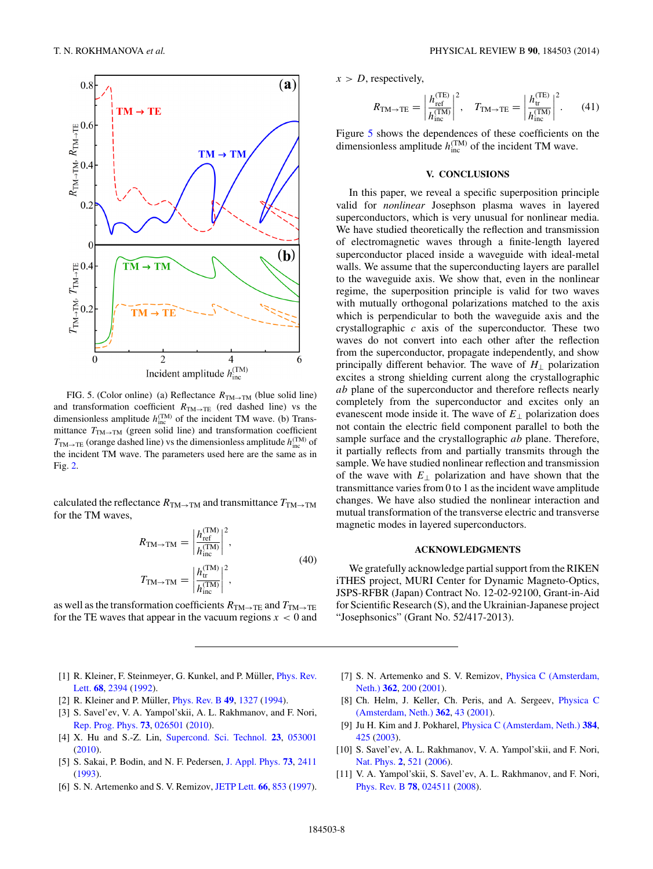<span id="page-7-0"></span>

FIG. 5. (Color online) (a) Reflectance  $R_{TM\rightarrow TM}$  (blue solid line) and transformation coefficient  $R_{TM\rightarrow TE}$  (red dashed line) vs the dimensionless amplitude  $h_{\text{inc}}^{(\text{TM})}$  of the incident TM wave. (b) Transmittance  $T_{\text{TM}\rightarrow\text{TM}}$  (green solid line) and transformation coefficient  $T_{\text{TM}\rightarrow\text{TE}}$  (orange dashed line) vs the dimensionless amplitude  $h_{\text{inc}}^{(\text{TM})}$  of the incident TM wave. The parameters used here are the same as in Fig. [2.](#page-4-0)

calculated the reflectance  $R_{TM\to TM}$  and transmittance  $T_{TM\to TM}$ for the TM waves,

$$
R_{\text{TM}\to\text{TM}} = \left| \frac{h_{\text{ref}}^{(\text{TM})}}{h_{\text{inc}}^{(\text{TM})}} \right|^2,
$$
  

$$
T_{\text{TM}\to\text{TM}} = \left| \frac{h_{\text{tr}}^{(\text{TM})}}{h_{\text{inc}}^{(\text{TM})}} \right|^2,
$$
 (40)

as well as the transformation coefficients  $R_{TM\to TE}$  and  $T_{TM\to TE}$ for the TE waves that appear in the vacuum regions  $x < 0$  and  $x > D$ , respectively,

$$
R_{\text{TM}\rightarrow\text{TE}} = \left| \frac{h_{\text{ref}}^{(\text{TE})}}{h_{\text{inc}}^{(\text{TM})}} \right|^2, \quad T_{\text{TM}\rightarrow\text{TE}} = \left| \frac{h_{\text{tr}}^{(\text{TE})}}{h_{\text{inc}}^{(\text{TM})}} \right|^2.
$$
 (41)

Figure 5 shows the dependences of these coefficients on the dimensionless amplitude  $h_{\text{inc}}^{(\text{TM})}$  of the incident TM wave.

## **V. CONCLUSIONS**

In this paper, we reveal a specific superposition principle valid for *nonlinear* Josephson plasma waves in layered superconductors, which is very unusual for nonlinear media. We have studied theoretically the reflection and transmission of electromagnetic waves through a finite-length layered superconductor placed inside a waveguide with ideal-metal walls. We assume that the superconducting layers are parallel to the waveguide axis. We show that, even in the nonlinear regime, the superposition principle is valid for two waves with mutually orthogonal polarizations matched to the axis which is perpendicular to both the waveguide axis and the crystallographic *c* axis of the superconductor. These two waves do not convert into each other after the reflection from the superconductor, propagate independently, and show principally different behavior. The wave of  $H_{\perp}$  polarization excites a strong shielding current along the crystallographic *ab* plane of the superconductor and therefore reflects nearly completely from the superconductor and excites only an evanescent mode inside it. The wave of *E*<sup>⊥</sup> polarization does not contain the electric field component parallel to both the sample surface and the crystallographic *ab* plane. Therefore, it partially reflects from and partially transmits through the sample. We have studied nonlinear reflection and transmission of the wave with  $E_{\perp}$  polarization and have shown that the transmittance varies from 0 to 1 as the incident wave amplitude changes. We have also studied the nonlinear interaction and mutual transformation of the transverse electric and transverse magnetic modes in layered superconductors.

#### **ACKNOWLEDGMENTS**

We gratefully acknowledge partial support from the RIKEN iTHES project, MURI Center for Dynamic Magneto-Optics, JSPS-RFBR (Japan) Contract No. 12-02-92100, Grant-in-Aid for Scientific Research (S), and the Ukrainian-Japanese project "Josephsonics" (Grant No. 52/417-2013).

- [1] R. Kleiner, F. Steinmeyer, G. Kunkel, and P. Müller, *Phys. Rev.* Lett. **[68](http://dx.doi.org/10.1103/PhysRevLett.68.2394)**, [2394](http://dx.doi.org/10.1103/PhysRevLett.68.2394) [\(1992\)](http://dx.doi.org/10.1103/PhysRevLett.68.2394).
- [2] R. Kleiner and P. Müller, *[Phys. Rev. B](http://dx.doi.org/10.1103/PhysRevB.49.1327)* **[49](http://dx.doi.org/10.1103/PhysRevB.49.1327)**, [1327](http://dx.doi.org/10.1103/PhysRevB.49.1327) [\(1994\)](http://dx.doi.org/10.1103/PhysRevB.49.1327).
- [3] S. Savel'ev, V. A. Yampol'skii, A. L. Rakhmanov, and F. Nori, [Rep. Prog. Phys.](http://dx.doi.org/10.1088/0034-4885/73/2/026501) **[73](http://dx.doi.org/10.1088/0034-4885/73/2/026501)**, [026501](http://dx.doi.org/10.1088/0034-4885/73/2/026501) [\(2010\)](http://dx.doi.org/10.1088/0034-4885/73/2/026501).
- [4] X. Hu and S.-Z. Lin, [Supercond. Sci. Technol.](http://dx.doi.org/10.1088/0953-2048/23/5/053001) **[23](http://dx.doi.org/10.1088/0953-2048/23/5/053001)**, [053001](http://dx.doi.org/10.1088/0953-2048/23/5/053001) [\(2010\)](http://dx.doi.org/10.1088/0953-2048/23/5/053001).
- [5] S. Sakai, P. Bodin, and N. F. Pedersen, [J. Appl. Phys.](http://dx.doi.org/10.1063/1.353095) **[73](http://dx.doi.org/10.1063/1.353095)**, [2411](http://dx.doi.org/10.1063/1.353095) [\(1993\)](http://dx.doi.org/10.1063/1.353095).
- [6] S. N. Artemenko and S. V. Remizov, [JETP Lett.](http://dx.doi.org/10.1134/1.567609) **[66](http://dx.doi.org/10.1134/1.567609)**, [853](http://dx.doi.org/10.1134/1.567609) [\(1997\)](http://dx.doi.org/10.1134/1.567609).
- [7] [S. N. Artemenko and S. V. Remizov,](http://dx.doi.org/10.1016/S0921-4534(01)00670-0) Physica C (Amsterdam, Neth.) **[362](http://dx.doi.org/10.1016/S0921-4534(01)00670-0)**, [200](http://dx.doi.org/10.1016/S0921-4534(01)00670-0) [\(2001\)](http://dx.doi.org/10.1016/S0921-4534(01)00670-0).
- [8] [Ch. Helm, J. Keller, Ch. Peris, and A. Sergeev,](http://dx.doi.org/10.1016/S0921-4534(01)00645-1) Physica C (Amsterdam, Neth.) **[362](http://dx.doi.org/10.1016/S0921-4534(01)00645-1)**, [43](http://dx.doi.org/10.1016/S0921-4534(01)00645-1) [\(2001\)](http://dx.doi.org/10.1016/S0921-4534(01)00645-1).
- [9] Ju H. Kim and J. Pokharel, [Physica C \(Amsterdam, Neth.\)](http://dx.doi.org/10.1016/S0921-4534(02)02015-4) **[384](http://dx.doi.org/10.1016/S0921-4534(02)02015-4)**, [425](http://dx.doi.org/10.1016/S0921-4534(02)02015-4) [\(2003\)](http://dx.doi.org/10.1016/S0921-4534(02)02015-4).
- [10] S. Savel'ev, A. L. Rakhmanov, V. A. Yampol'skii, and F. Nori, [Nat. Phys.](http://dx.doi.org/10.1038/nphys358) **[2](http://dx.doi.org/10.1038/nphys358)**, [521](http://dx.doi.org/10.1038/nphys358) [\(2006\)](http://dx.doi.org/10.1038/nphys358).
- [11] V. A. Yampol'skii, S. Savel'ev, A. L. Rakhmanov, and F. Nori, [Phys. Rev. B](http://dx.doi.org/10.1103/PhysRevB.78.024511) **[78](http://dx.doi.org/10.1103/PhysRevB.78.024511)**, [024511](http://dx.doi.org/10.1103/PhysRevB.78.024511) [\(2008\)](http://dx.doi.org/10.1103/PhysRevB.78.024511).